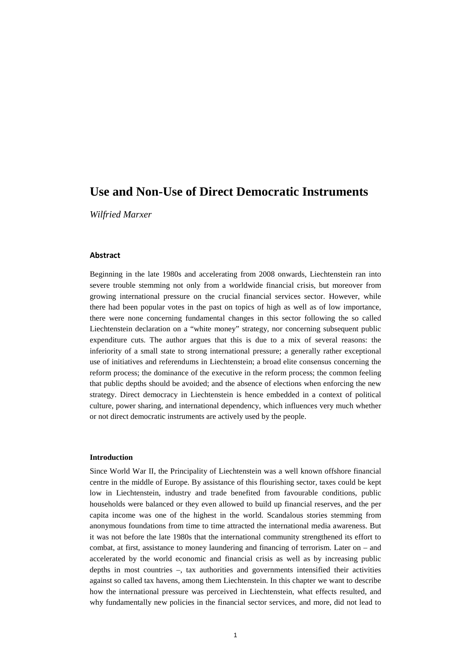# **Use and Non-Use of Direct Democratic Instruments**

*Wilfried Marxer*

# **Abstract**

Beginning in the late 1980s and accelerating from 2008 onwards, Liechtenstein ran into severe trouble stemming not only from a worldwide financial crisis, but moreover from growing international pressure on the crucial financial services sector. However, while there had been popular votes in the past on topics of high as well as of low importance, there were none concerning fundamental changes in this sector following the so called Liechtenstein declaration on a "white money" strategy, nor concerning subsequent public expenditure cuts. The author argues that this is due to a mix of several reasons: the inferiority of a small state to strong international pressure; a generally rather exceptional use of initiatives and referendums in Liechtenstein; a broad elite consensus concerning the reform process; the dominance of the executive in the reform process; the common feeling that public depths should be avoided; and the absence of elections when enforcing the new strategy. Direct democracy in Liechtenstein is hence embedded in a context of political culture, power sharing, and international dependency, which influences very much whether or not direct democratic instruments are actively used by the people.

## **Introduction**

Since World War II, the Principality of Liechtenstein was a well known offshore financial centre in the middle of Europe. By assistance of this flourishing sector, taxes could be kept low in Liechtenstein, industry and trade benefited from favourable conditions, public households were balanced or they even allowed to build up financial reserves, and the per capita income was one of the highest in the world. Scandalous stories stemming from anonymous foundations from time to time attracted the international media awareness. But it was not before the late 1980s that the international community strengthened its effort to combat, at first, assistance to money laundering and financing of terrorism. Later on – and accelerated by the world economic and financial crisis as well as by increasing public depths in most countries –, tax authorities and governments intensified their activities against so called tax havens, among them Liechtenstein. In this chapter we want to describe how the international pressure was perceived in Liechtenstein, what effects resulted, and why fundamentally new policies in the financial sector services, and more, did not lead to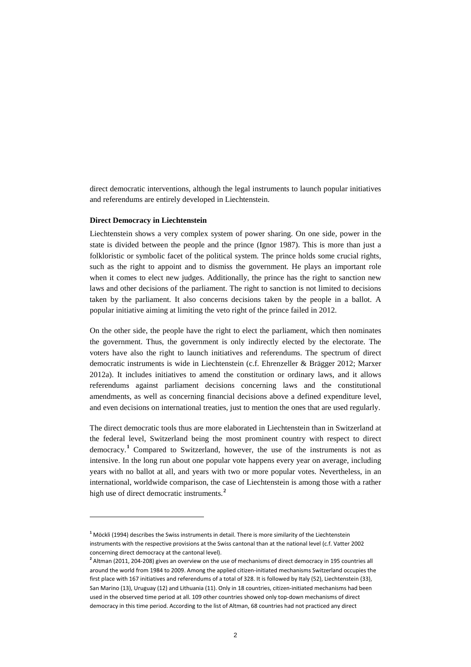direct democratic interventions, although the legal instruments to launch popular initiatives and referendums are entirely developed in Liechtenstein.

# **Direct Democracy in Liechtenstein**

Liechtenstein shows a very complex system of power sharing. On one side, power in the state is divided between the people and the prince (Ignor 1987). This is more than just a folkloristic or symbolic facet of the political system. The prince holds some crucial rights, such as the right to appoint and to dismiss the government. He plays an important role when it comes to elect new judges. Additionally, the prince has the right to sanction new laws and other decisions of the parliament. The right to sanction is not limited to decisions taken by the parliament. It also concerns decisions taken by the people in a ballot. A popular initiative aiming at limiting the veto right of the prince failed in 2012.

On the other side, the people have the right to elect the parliament, which then nominates the government. Thus, the government is only indirectly elected by the electorate. The voters have also the right to launch initiatives and referendums. The spectrum of direct democratic instruments is wide in Liechtenstein (c.f. Ehrenzeller & Brägger 2012; Marxer 2012a). It includes initiatives to amend the constitution or ordinary laws, and it allows referendums against parliament decisions concerning laws and the constitutional amendments, as well as concerning financial decisions above a defined expenditure level, and even decisions on international treaties, just to mention the ones that are used regularly.

The direct democratic tools thus are more elaborated in Liechtenstein than in Switzerland at the federal level, Switzerland being the most prominent country with respect to direct democracy.**[1](#page-1-0)** Compared to Switzerland, however, the use of the instruments is not as intensive. In the long run about one popular vote happens every year on average, including years with no ballot at all, and years with two or more popular votes. Nevertheless, in an international, worldwide comparison, the case of Liechtenstein is among those with a rather high use of direct democratic instruments.**[2](#page-1-1)**

<span id="page-1-0"></span>**<sup>1</sup>** Möckli (1994) describes the Swiss instruments in detail. There is more similarity of the Liechtenstein instruments with the respective provisions at the Swiss cantonal than at the national level (c.f. Vatter 2002 concerning direct democracy at the cantonal level).

<span id="page-1-1"></span>**<sup>2</sup>** Altman (2011, 204-208) gives an overview on the use of mechanisms of direct democracy in 195 countries all around the world from 1984 to 2009. Among the applied citizen-initiated mechanisms Switzerland occupies the first place with 167 initiatives and referendums of a total of 328. It is followed by Italy (52), Liechtenstein (33), San Marino (13), Uruguay (12) and Lithuania (11). Only in 18 countries, citizen-initiated mechanisms had been used in the observed time period at all. 109 other countries showed only top-down mechanisms of direct democracy in this time period. According to the list of Altman, 68 countries had not practiced any direct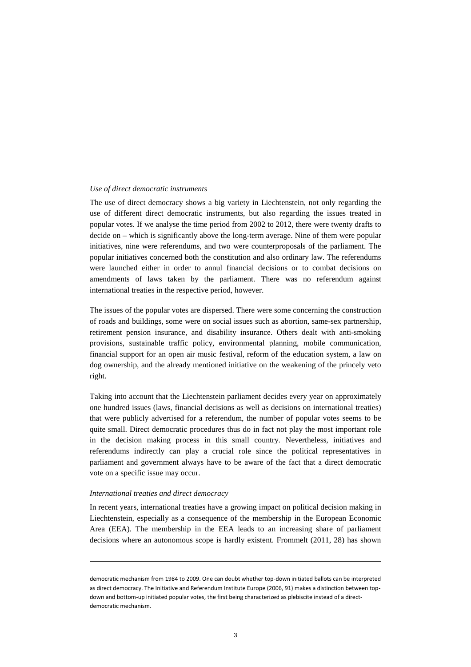## *Use of direct democratic instruments*

The use of direct democracy shows a big variety in Liechtenstein, not only regarding the use of different direct democratic instruments, but also regarding the issues treated in popular votes. If we analyse the time period from 2002 to 2012, there were twenty drafts to decide on – which is significantly above the long-term average. Nine of them were popular initiatives, nine were referendums, and two were counterproposals of the parliament. The popular initiatives concerned both the constitution and also ordinary law. The referendums were launched either in order to annul financial decisions or to combat decisions on amendments of laws taken by the parliament. There was no referendum against international treaties in the respective period, however.

The issues of the popular votes are dispersed. There were some concerning the construction of roads and buildings, some were on social issues such as abortion, same-sex partnership, retirement pension insurance, and disability insurance. Others dealt with anti-smoking provisions, sustainable traffic policy, environmental planning, mobile communication, financial support for an open air music festival, reform of the education system, a law on dog ownership, and the already mentioned initiative on the weakening of the princely veto right.

Taking into account that the Liechtenstein parliament decides every year on approximately one hundred issues (laws, financial decisions as well as decisions on international treaties) that were publicly advertised for a referendum, the number of popular votes seems to be quite small. Direct democratic procedures thus do in fact not play the most important role in the decision making process in this small country. Nevertheless, initiatives and referendums indirectly can play a crucial role since the political representatives in parliament and government always have to be aware of the fact that a direct democratic vote on a specific issue may occur.

## *International treaties and direct democracy*

l

In recent years, international treaties have a growing impact on political decision making in Liechtenstein, especially as a consequence of the membership in the European Economic Area (EEA). The membership in the EEA leads to an increasing share of parliament decisions where an autonomous scope is hardly existent. Frommelt (2011, 28) has shown

democratic mechanism from 1984 to 2009. One can doubt whether top-down initiated ballots can be interpreted as direct democracy. The Initiative and Referendum Institute Europe (2006, 91) makes a distinction between topdown and bottom-up initiated popular votes, the first being characterized as plebiscite instead of a directdemocratic mechanism.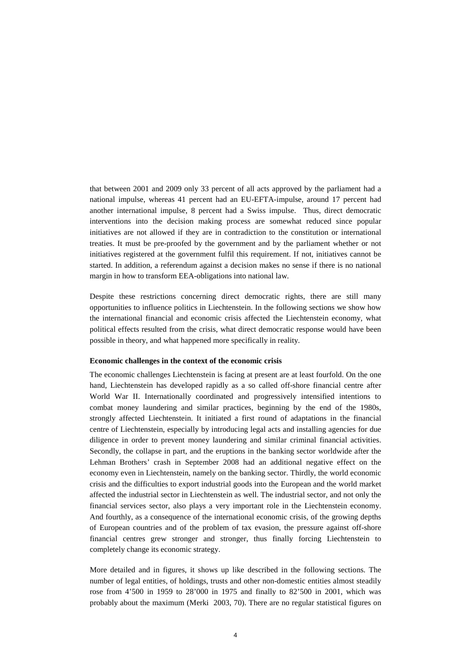that between 2001 and 2009 only 33 percent of all acts approved by the parliament had a national impulse, whereas 41 percent had an EU-EFTA-impulse, around 17 percent had another international impulse, 8 percent had a Swiss impulse. Thus, direct democratic interventions into the decision making process are somewhat reduced since popular initiatives are not allowed if they are in contradiction to the constitution or international treaties. It must be pre-proofed by the government and by the parliament whether or not initiatives registered at the government fulfil this requirement. If not, initiatives cannot be started. In addition, a referendum against a decision makes no sense if there is no national margin in how to transform EEA-obligations into national law.

Despite these restrictions concerning direct democratic rights, there are still many opportunities to influence politics in Liechtenstein. In the following sections we show how the international financial and economic crisis affected the Liechtenstein economy, what political effects resulted from the crisis, what direct democratic response would have been possible in theory, and what happened more specifically in reality.

## **Economic challenges in the context of the economic crisis**

The economic challenges Liechtenstein is facing at present are at least fourfold. On the one hand, Liechtenstein has developed rapidly as a so called off-shore financial centre after World War II. Internationally coordinated and progressively intensified intentions to combat money laundering and similar practices, beginning by the end of the 1980s, strongly affected Liechtenstein. It initiated a first round of adaptations in the financial centre of Liechtenstein, especially by introducing legal acts and installing agencies for due diligence in order to prevent money laundering and similar criminal financial activities. Secondly, the collapse in part, and the eruptions in the banking sector worldwide after the Lehman Brothers' crash in September 2008 had an additional negative effect on the economy even in Liechtenstein, namely on the banking sector. Thirdly, the world economic crisis and the difficulties to export industrial goods into the European and the world market affected the industrial sector in Liechtenstein as well. The industrial sector, and not only the financial services sector, also plays a very important role in the Liechtenstein economy. And fourthly, as a consequence of the international economic crisis, of the growing depths of European countries and of the problem of tax evasion, the pressure against off-shore financial centres grew stronger and stronger, thus finally forcing Liechtenstein to completely change its economic strategy.

More detailed and in figures, it shows up like described in the following sections. The number of legal entities, of holdings, trusts and other non-domestic entities almost steadily rose from 4'500 in 1959 to 28'000 in 1975 and finally to 82'500 in 2001, which was probably about the maximum (Merki 2003, 70). There are no regular statistical figures on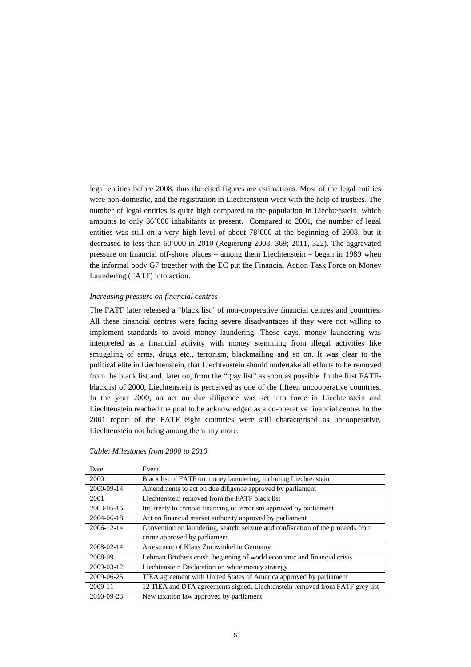legal entities before 2008, thus the cited figures are estimations. Most of the legal entities were non-domestic, and the registration in Liechtenstein went with the help of trustees. The number of legal entities is quite high compared to the population in Liechtenstein, which amounts to only 36'000 inhabitants at present. Compared to 2001, the number of legal entities was still on a very high level of about 78'000 at the beginning of 2008, but it decreased to less than 60'000 in 2010 (Regierung 2008, 369; 2011, 322). The aggravated pressure on financial off-shore places – among them Liechtenstein – began in 1989 when the informal body G7 together with the EC put the Financial Action Task Force on Money Laundering (FATF) into action.

## *Increasing pressure on financial centres*

The FATF later released a "black list" of non-cooperative financial centres and countries. All these financial centres were facing severe disadvantages if they were not willing to implement standards to avoid money laundering. Those days, money laundering was interpreted as a financial activity with money stemming from illegal activities like smuggling of arms, drugs etc., terrorism, blackmailing and so on. It was clear to the political elite in Liechtenstein, that Liechtenstein should undertake all efforts to be removed from the black list and, later on, from the "gray list" as soon as possible. In the first FATFblacklist of 2000, Liechtenstein is perceived as one of the fifteen uncooperative countries. In the year 2000, an act on due diligence was set into force in Liechtenstein and Liechtenstein reached the goal to be acknowledged as a co-operative financial centre. In the 2001 report of the FATF eight countries were still characterised as uncooperative, Liechtenstein not being among them any more.

| Date       | Event                                                                           |
|------------|---------------------------------------------------------------------------------|
| 2000       | Black list of FATF on money laundering, including Liechtenstein                 |
| 2000-09-14 | Amendments to act on due diligence approved by parliament                       |
| 2001       | Liechtenstein removed from the FATF black list                                  |
| 2003-05-16 | Int. treaty to combat financing of terrorism approved by parliament             |
| 2004-06-18 | Act on financial market authority approved by parliament                        |
| 2006-12-14 | Convention on laundering, search, seizure and confiscation of the proceeds from |
|            | crime approved by parliament                                                    |
| 2008-02-14 | Arrestment of Klaus Zumwinkel in Germany                                        |
| 2008-09    | Lehman Brothers crash, beginning of world economic and financial crisis         |
| 2009-03-12 | Liechtenstein Declaration on white money strategy                               |
| 2009-06-25 | TIEA agreement with United States of America approved by parliament             |
| 2009-11    | 12 TIEA and DTA agreements signed, Liechtenstein removed from FATF grey list    |
| 2010-09-23 | New taxation law approved by parliament                                         |

#### *Table: Milestones from 2000 to 2010*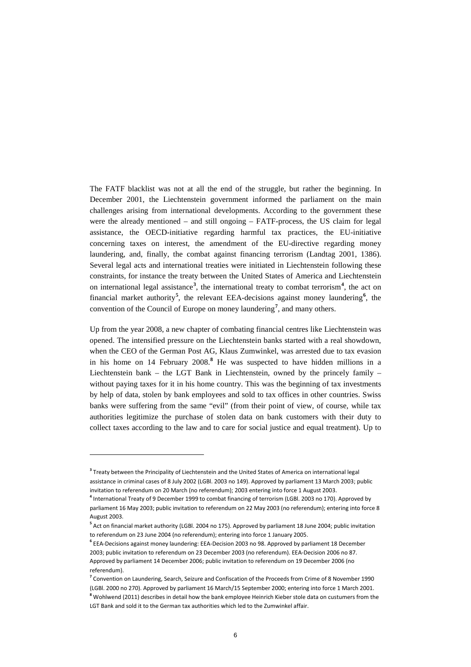The FATF blacklist was not at all the end of the struggle, but rather the beginning. In December 2001, the Liechtenstein government informed the parliament on the main challenges arising from international developments. According to the government these were the already mentioned – and still ongoing – FATF-process, the US claim for legal assistance, the OECD-initiative regarding harmful tax practices, the EU-initiative concerning taxes on interest, the amendment of the EU-directive regarding money laundering, and, finally, the combat against financing terrorism (Landtag 2001, 1386). Several legal acts and international treaties were initiated in Liechtenstein following these constraints, for instance the treaty between the United States of America and Liechtenstein on international legal assistance**[3](#page-5-0)** , the international treaty to combat terrorism**[4](#page-5-1)** , the act on financial market authority**[5](#page-5-2)** , the relevant EEA-decisions against money laundering**[6](#page-5-3)** , the convention of the Council of Europe on money laundering**[7](#page-5-4)** , and many others.

Up from the year 2008, a new chapter of combating financial centres like Liechtenstein was opened. The intensified pressure on the Liechtenstein banks started with a real showdown, when the CEO of the German Post AG, Klaus Zumwinkel, was arrested due to tax evasion in his home on 14 February 2008. **[8](#page-5-5)** He was suspected to have hidden millions in a Liechtenstein bank – the LGT Bank in Liechtenstein, owned by the princely family – without paying taxes for it in his home country. This was the beginning of tax investments by help of data, stolen by bank employees and sold to tax offices in other countries. Swiss banks were suffering from the same "evil" (from their point of view, of course, while tax authorities legitimize the purchase of stolen data on bank customers with their duty to collect taxes according to the law and to care for social justice and equal treatment). Up to

l

<span id="page-5-0"></span>**<sup>3</sup>** Treaty between the Principality of Liechtenstein and the United States of America on international legal assistance in criminal cases of 8 July 2002 (LGBl. 2003 no 149). Approved by parliament 13 March 2003; public invitation to referendum on 20 March (no referendum); 2003 entering into force 1 August 2003.

<span id="page-5-1"></span>**<sup>4</sup>** International Treaty of 9 December 1999 to combat financing of terrorism (LGBl. 2003 no 170). Approved by parliament 16 May 2003; public invitation to referendum on 22 May 2003 (no referendum); entering into force 8 August 2003.

<span id="page-5-2"></span>**<sup>5</sup>** Act on financial market authority (LGBl. 2004 no 175). Approved by parliament 18 June 2004; public invitation to referendum on 23 June 2004 (no referendum); entering into force 1 January 2005.

<span id="page-5-3"></span>**<sup>6</sup>** EEA-Decisions against money laundering: EEA-Decision 2003 no 98. Approved by parliament 18 December 2003; public invitation to referendum on 23 December 2003 (no referendum). EEA-Decision 2006 no 87. Approved by parliament 14 December 2006; public invitation to referendum on 19 December 2006 (no referendum).

<span id="page-5-4"></span>**<sup>7</sup>** Convention on Laundering, Search, Seizure and Confiscation of the Proceeds from Crime of 8 November 1990 (LGBl. 2000 no 270). Approved by parliament 16 March/15 September 2000; entering into force 1 March 2001.

<span id="page-5-5"></span>**<sup>8</sup>** Wohlwend (2011) describes in detail how the bank employee Heinrich Kieber stole data on custumers from the LGT Bank and sold it to the German tax authorities which led to the Zumwinkel affair.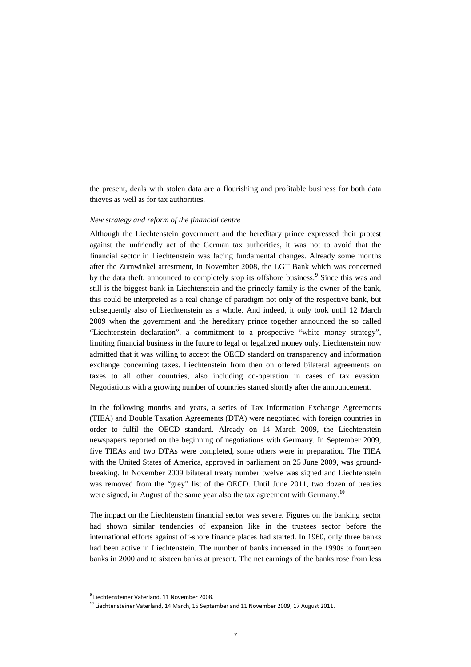the present, deals with stolen data are a flourishing and profitable business for both data thieves as well as for tax authorities.

# *New strategy and reform of the financial centre*

Although the Liechtenstein government and the hereditary prince expressed their protest against the unfriendly act of the German tax authorities, it was not to avoid that the financial sector in Liechtenstein was facing fundamental changes. Already some months after the Zumwinkel arrestment, in November 2008, the LGT Bank which was concerned by the data theft, announced to completely stop its offshore business.**[9](#page-6-0)** Since this was and still is the biggest bank in Liechtenstein and the princely family is the owner of the bank, this could be interpreted as a real change of paradigm not only of the respective bank, but subsequently also of Liechtenstein as a whole. And indeed, it only took until 12 March 2009 when the government and the hereditary prince together announced the so called "Liechtenstein declaration", a commitment to a prospective "white money strategy", limiting financial business in the future to legal or legalized money only. Liechtenstein now admitted that it was willing to accept the OECD standard on transparency and information exchange concerning taxes. Liechtenstein from then on offered bilateral agreements on taxes to all other countries, also including co-operation in cases of tax evasion. Negotiations with a growing number of countries started shortly after the announcement.

In the following months and years, a series of Tax Information Exchange Agreements (TIEA) and Double Taxation Agreements (DTA) were negotiated with foreign countries in order to fulfil the OECD standard. Already on 14 March 2009, the Liechtenstein newspapers reported on the beginning of negotiations with Germany. In September 2009, five TIEAs and two DTAs were completed, some others were in preparation. The TIEA with the United States of America, approved in parliament on 25 June 2009, was groundbreaking. In November 2009 bilateral treaty number twelve was signed and Liechtenstein was removed from the "grey" list of the OECD. Until June 2011, two dozen of treaties were signed, in August of the same year also the tax agreement with Germany.<sup>[10](#page-6-1)</sup>

The impact on the Liechtenstein financial sector was severe. Figures on the banking sector had shown similar tendencies of expansion like in the trustees sector before the international efforts against off-shore finance places had started. In 1960, only three banks had been active in Liechtenstein. The number of banks increased in the 1990s to fourteen banks in 2000 and to sixteen banks at present. The net earnings of the banks rose from less

 $\overline{a}$ 

<span id="page-6-0"></span>**<sup>9</sup>** Liechtensteiner Vaterland, 11 November 2008.

<span id="page-6-1"></span>**<sup>10</sup>** Liechtensteiner Vaterland, 14 March, 15 September and 11 November 2009; 17 August 2011.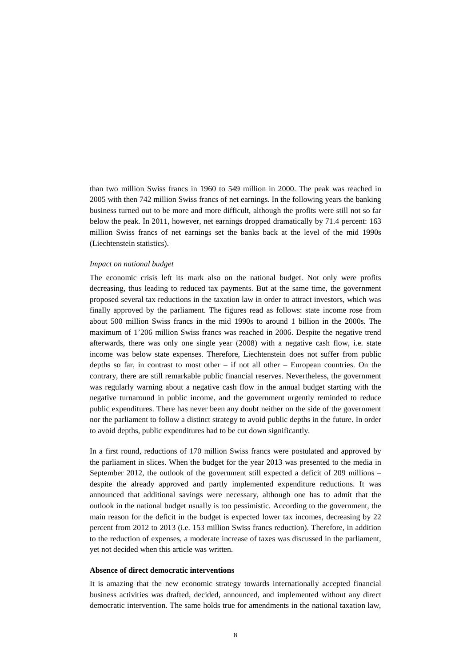than two million Swiss francs in 1960 to 549 million in 2000. The peak was reached in 2005 with then 742 million Swiss francs of net earnings. In the following years the banking business turned out to be more and more difficult, although the profits were still not so far below the peak. In 2011, however, net earnings dropped dramatically by 71.4 percent: 163 million Swiss francs of net earnings set the banks back at the level of the mid 1990s (Liechtenstein statistics).

#### *Impact on national budget*

The economic crisis left its mark also on the national budget. Not only were profits decreasing, thus leading to reduced tax payments. But at the same time, the government proposed several tax reductions in the taxation law in order to attract investors, which was finally approved by the parliament. The figures read as follows: state income rose from about 500 million Swiss francs in the mid 1990s to around 1 billion in the 2000s. The maximum of 1'206 million Swiss francs was reached in 2006. Despite the negative trend afterwards, there was only one single year (2008) with a negative cash flow, i.e. state income was below state expenses. Therefore, Liechtenstein does not suffer from public depths so far, in contrast to most other – if not all other – European countries. On the contrary, there are still remarkable public financial reserves. Nevertheless, the government was regularly warning about a negative cash flow in the annual budget starting with the negative turnaround in public income, and the government urgently reminded to reduce public expenditures. There has never been any doubt neither on the side of the government nor the parliament to follow a distinct strategy to avoid public depths in the future. In order to avoid depths, public expenditures had to be cut down significantly.

In a first round, reductions of 170 million Swiss francs were postulated and approved by the parliament in slices. When the budget for the year 2013 was presented to the media in September 2012, the outlook of the government still expected a deficit of 209 millions – despite the already approved and partly implemented expenditure reductions. It was announced that additional savings were necessary, although one has to admit that the outlook in the national budget usually is too pessimistic. According to the government, the main reason for the deficit in the budget is expected lower tax incomes, decreasing by 22 percent from 2012 to 2013 (i.e. 153 million Swiss francs reduction). Therefore, in addition to the reduction of expenses, a moderate increase of taxes was discussed in the parliament, yet not decided when this article was written.

## **Absence of direct democratic interventions**

It is amazing that the new economic strategy towards internationally accepted financial business activities was drafted, decided, announced, and implemented without any direct democratic intervention. The same holds true for amendments in the national taxation law,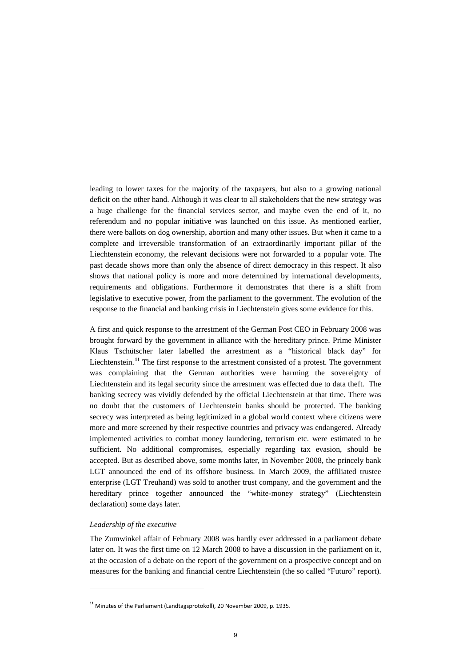leading to lower taxes for the majority of the taxpayers, but also to a growing national deficit on the other hand. Although it was clear to all stakeholders that the new strategy was a huge challenge for the financial services sector, and maybe even the end of it, no referendum and no popular initiative was launched on this issue. As mentioned earlier, there were ballots on dog ownership, abortion and many other issues. But when it came to a complete and irreversible transformation of an extraordinarily important pillar of the Liechtenstein economy, the relevant decisions were not forwarded to a popular vote. The past decade shows more than only the absence of direct democracy in this respect. It also shows that national policy is more and more determined by international developments, requirements and obligations. Furthermore it demonstrates that there is a shift from legislative to executive power, from the parliament to the government. The evolution of the response to the financial and banking crisis in Liechtenstein gives some evidence for this.

A first and quick response to the arrestment of the German Post CEO in February 2008 was brought forward by the government in alliance with the hereditary prince. Prime Minister Klaus Tschütscher later labelled the arrestment as a "historical black day" for Liechtenstein.**[11](#page-8-0)** The first response to the arrestment consisted of a protest. The government was complaining that the German authorities were harming the sovereignty of Liechtenstein and its legal security since the arrestment was effected due to data theft. The banking secrecy was vividly defended by the official Liechtenstein at that time. There was no doubt that the customers of Liechtenstein banks should be protected. The banking secrecy was interpreted as being legitimized in a global world context where citizens were more and more screened by their respective countries and privacy was endangered. Already implemented activities to combat money laundering, terrorism etc. were estimated to be sufficient. No additional compromises, especially regarding tax evasion, should be accepted. But as described above, some months later, in November 2008, the princely bank LGT announced the end of its offshore business. In March 2009, the affiliated trustee enterprise (LGT Treuhand) was sold to another trust company, and the government and the hereditary prince together announced the "white-money strategy" (Liechtenstein declaration) some days later.

## *Leadership of the executive*

l

The Zumwinkel affair of February 2008 was hardly ever addressed in a parliament debate later on. It was the first time on 12 March 2008 to have a discussion in the parliament on it, at the occasion of a debate on the report of the government on a prospective concept and on measures for the banking and financial centre Liechtenstein (the so called "Futuro" report).

<span id="page-8-0"></span>**<sup>11</sup>** Minutes of the Parliament (Landtagsprotokoll), 20 November 2009, p. 1935.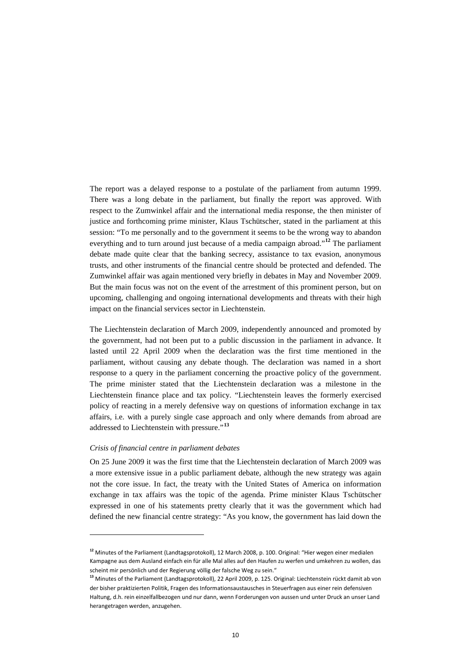The report was a delayed response to a postulate of the parliament from autumn 1999. There was a long debate in the parliament, but finally the report was approved. With respect to the Zumwinkel affair and the international media response, the then minister of justice and forthcoming prime minister, Klaus Tschütscher, stated in the parliament at this session: "To me personally and to the government it seems to be the wrong way to abandon everything and to turn around just because of a media campaign abroad."**[12](#page-9-0)** The parliament debate made quite clear that the banking secrecy, assistance to tax evasion, anonymous trusts, and other instruments of the financial centre should be protected and defended. The Zumwinkel affair was again mentioned very briefly in debates in May and November 2009. But the main focus was not on the event of the arrestment of this prominent person, but on upcoming, challenging and ongoing international developments and threats with their high impact on the financial services sector in Liechtenstein.

The Liechtenstein declaration of March 2009, independently announced and promoted by the government, had not been put to a public discussion in the parliament in advance. It lasted until 22 April 2009 when the declaration was the first time mentioned in the parliament, without causing any debate though. The declaration was named in a short response to a query in the parliament concerning the proactive policy of the government. The prime minister stated that the Liechtenstein declaration was a milestone in the Liechtenstein finance place and tax policy. "Liechtenstein leaves the formerly exercised policy of reacting in a merely defensive way on questions of information exchange in tax affairs, i.e. with a purely single case approach and only where demands from abroad are addressed to Liechtenstein with pressure."**[13](#page-9-1)**

## *Crisis of financial centre in parliament debates*

On 25 June 2009 it was the first time that the Liechtenstein declaration of March 2009 was a more extensive issue in a public parliament debate, although the new strategy was again not the core issue. In fact, the treaty with the United States of America on information exchange in tax affairs was the topic of the agenda. Prime minister Klaus Tschütscher expressed in one of his statements pretty clearly that it was the government which had defined the new financial centre strategy: "As you know, the government has laid down the

<span id="page-9-0"></span>**<sup>12</sup>** Minutes of the Parliament (Landtagsprotokoll), 12 March 2008, p. 100. Original: "Hier wegen einer medialen Kampagne aus dem Ausland einfach ein für alle Mal alles auf den Haufen zu werfen und umkehren zu wollen, das scheint mir persönlich und der Regierung völlig der falsche Weg zu sein."

<span id="page-9-1"></span>**<sup>13</sup>** Minutes of the Parliament (Landtagsprotokoll), 22 April 2009, p. 125. Original: Liechtenstein rückt damit ab von der bisher praktizierten Politik, Fragen des Informationsaustausches in Steuerfragen aus einer rein defensiven Haltung, d.h. rein einzelfallbezogen und nur dann, wenn Forderungen von aussen und unter Druck an unser Land herangetragen werden, anzugehen.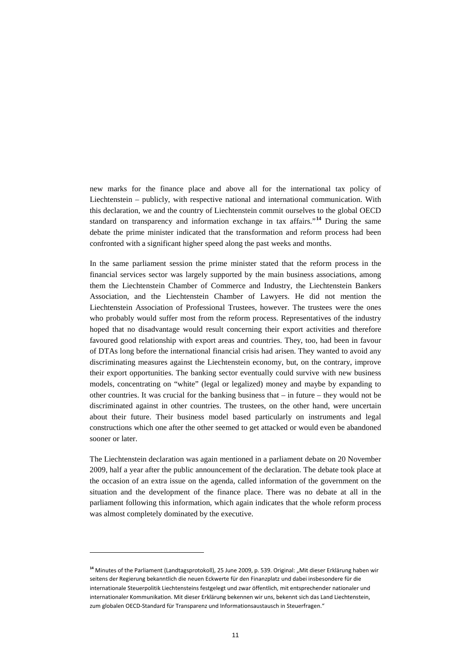new marks for the finance place and above all for the international tax policy of Liechtenstein – publicly, with respective national and international communication. With this declaration, we and the country of Liechtenstein commit ourselves to the global OECD standard on transparency and information exchange in tax affairs."**[14](#page-10-0)** During the same debate the prime minister indicated that the transformation and reform process had been confronted with a significant higher speed along the past weeks and months.

In the same parliament session the prime minister stated that the reform process in the financial services sector was largely supported by the main business associations, among them the Liechtenstein Chamber of Commerce and Industry, the Liechtenstein Bankers Association, and the Liechtenstein Chamber of Lawyers. He did not mention the Liechtenstein Association of Professional Trustees, however. The trustees were the ones who probably would suffer most from the reform process. Representatives of the industry hoped that no disadvantage would result concerning their export activities and therefore favoured good relationship with export areas and countries. They, too, had been in favour of DTAs long before the international financial crisis had arisen. They wanted to avoid any discriminating measures against the Liechtenstein economy, but, on the contrary, improve their export opportunities. The banking sector eventually could survive with new business models, concentrating on "white" (legal or legalized) money and maybe by expanding to other countries. It was crucial for the banking business that  $-$  in future  $-$  they would not be discriminated against in other countries. The trustees, on the other hand, were uncertain about their future. Their business model based particularly on instruments and legal constructions which one after the other seemed to get attacked or would even be abandoned sooner or later.

The Liechtenstein declaration was again mentioned in a parliament debate on 20 November 2009, half a year after the public announcement of the declaration. The debate took place at the occasion of an extra issue on the agenda, called information of the government on the situation and the development of the finance place. There was no debate at all in the parliament following this information, which again indicates that the whole reform process was almost completely dominated by the executive.

<span id="page-10-0"></span><sup>&</sup>lt;sup>14</sup> Minutes of the Parliament (Landtagsprotokoll), 25 June 2009, p. 539. Original: "Mit dieser Erklärung haben wir seitens der Regierung bekanntlich die neuen Eckwerte für den Finanzplatz und dabei insbesondere für die internationale Steuerpolitik Liechtensteins festgelegt und zwar öffentlich, mit entsprechender nationaler und internationaler Kommunikation. Mit dieser Erklärung bekennen wir uns, bekennt sich das Land Liechtenstein, zum globalen OECD-Standard für Transparenz und Informationsaustausch in Steuerfragen."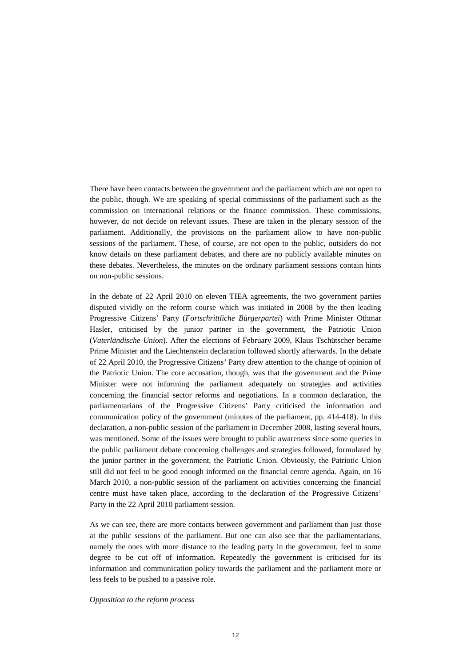There have been contacts between the government and the parliament which are not open to the public, though. We are speaking of special commissions of the parliament such as the commission on international relations or the finance commission. These commissions, however, do not decide on relevant issues. These are taken in the plenary session of the parliament. Additionally, the provisions on the parliament allow to have non-public sessions of the parliament. These, of course, are not open to the public, outsiders do not know details on these parliament debates, and there are no publicly available minutes on these debates. Nevertheless, the minutes on the ordinary parliament sessions contain hints on non-public sessions.

In the debate of 22 April 2010 on eleven TIEA agreements, the two government parties disputed vividly on the reform course which was initiated in 2008 by the then leading Progressive Citizens' Party (*Fortschrittliche Bürgerpartei*) with Prime Minister Othmar Hasler, criticised by the junior partner in the government, the Patriotic Union (*Vaterländische Union*). After the elections of February 2009, Klaus Tschütscher became Prime Minister and the Liechtenstein declaration followed shortly afterwards. In the debate of 22 April 2010, the Progressive Citizens' Party drew attention to the change of opinion of the Patriotic Union. The core accusation, though, was that the government and the Prime Minister were not informing the parliament adequately on strategies and activities concerning the financial sector reforms and negotiations. In a common declaration, the parliamentarians of the Progressive Citizens' Party criticised the information and communication policy of the government (minutes of the parliament, pp. 414-418). In this declaration, a non-public session of the parliament in December 2008, lasting several hours, was mentioned. Some of the issues were brought to public awareness since some queries in the public parliament debate concerning challenges and strategies followed, formulated by the junior partner in the government, the Patriotic Union. Obviously, the Patriotic Union still did not feel to be good enough informed on the financial centre agenda. Again, on 16 March 2010, a non-public session of the parliament on activities concerning the financial centre must have taken place, according to the declaration of the Progressive Citizens' Party in the 22 April 2010 parliament session.

As we can see, there are more contacts between government and parliament than just those at the public sessions of the parliament. But one can also see that the parliamentarians, namely the ones with more distance to the leading party in the government, feel to some degree to be cut off of information. Repeatedly the government is criticised for its information and communication policy towards the parliament and the parliament more or less feels to be pushed to a passive role.

#### *Opposition to the reform process*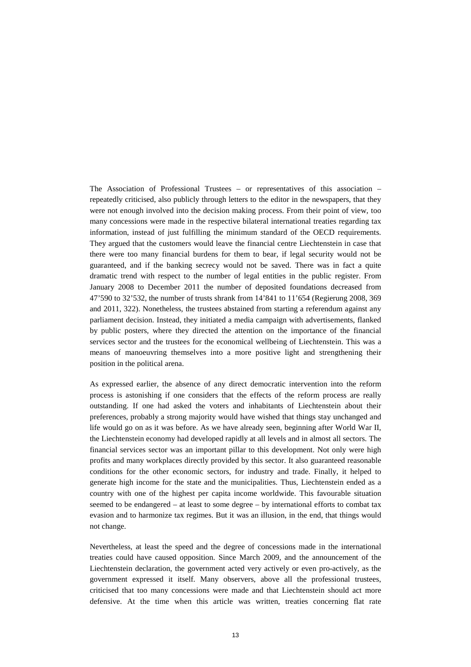The Association of Professional Trustees – or representatives of this association – repeatedly criticised, also publicly through letters to the editor in the newspapers, that they were not enough involved into the decision making process. From their point of view, too many concessions were made in the respective bilateral international treaties regarding tax information, instead of just fulfilling the minimum standard of the OECD requirements. They argued that the customers would leave the financial centre Liechtenstein in case that there were too many financial burdens for them to bear, if legal security would not be guaranteed, and if the banking secrecy would not be saved. There was in fact a quite dramatic trend with respect to the number of legal entities in the public register. From January 2008 to December 2011 the number of deposited foundations decreased from 47'590 to 32'532, the number of trusts shrank from 14'841 to 11'654 (Regierung 2008, 369 and 2011, 322). Nonetheless, the trustees abstained from starting a referendum against any parliament decision. Instead, they initiated a media campaign with advertisements, flanked by public posters, where they directed the attention on the importance of the financial services sector and the trustees for the economical wellbeing of Liechtenstein. This was a means of manoeuvring themselves into a more positive light and strengthening their position in the political arena.

As expressed earlier, the absence of any direct democratic intervention into the reform process is astonishing if one considers that the effects of the reform process are really outstanding. If one had asked the voters and inhabitants of Liechtenstein about their preferences, probably a strong majority would have wished that things stay unchanged and life would go on as it was before. As we have already seen, beginning after World War II, the Liechtenstein economy had developed rapidly at all levels and in almost all sectors. The financial services sector was an important pillar to this development. Not only were high profits and many workplaces directly provided by this sector. It also guaranteed reasonable conditions for the other economic sectors, for industry and trade. Finally, it helped to generate high income for the state and the municipalities. Thus, Liechtenstein ended as a country with one of the highest per capita income worldwide. This favourable situation seemed to be endangered – at least to some degree – by international efforts to combat tax evasion and to harmonize tax regimes. But it was an illusion, in the end, that things would not change.

Nevertheless, at least the speed and the degree of concessions made in the international treaties could have caused opposition. Since March 2009, and the announcement of the Liechtenstein declaration, the government acted very actively or even pro-actively, as the government expressed it itself. Many observers, above all the professional trustees, criticised that too many concessions were made and that Liechtenstein should act more defensive. At the time when this article was written, treaties concerning flat rate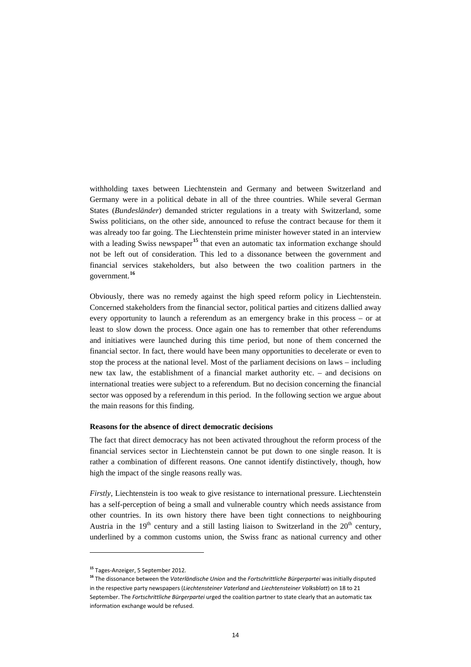withholding taxes between Liechtenstein and Germany and between Switzerland and Germany were in a political debate in all of the three countries. While several German States (*Bundesländer*) demanded stricter regulations in a treaty with Switzerland, some Swiss politicians, on the other side, announced to refuse the contract because for them it was already too far going. The Liechtenstein prime minister however stated in an interview with a leading Swiss newspaper<sup>[15](#page-13-0)</sup> that even an automatic tax information exchange should not be left out of consideration. This led to a dissonance between the government and financial services stakeholders, but also between the two coalition partners in the government.**[16](#page-13-1)**

Obviously, there was no remedy against the high speed reform policy in Liechtenstein. Concerned stakeholders from the financial sector, political parties and citizens dallied away every opportunity to launch a referendum as an emergency brake in this process – or at least to slow down the process. Once again one has to remember that other referendums and initiatives were launched during this time period, but none of them concerned the financial sector. In fact, there would have been many opportunities to decelerate or even to stop the process at the national level. Most of the parliament decisions on laws – including new tax law, the establishment of a financial market authority etc. – and decisions on international treaties were subject to a referendum. But no decision concerning the financial sector was opposed by a referendum in this period. In the following section we argue about the main reasons for this finding.

## **Reasons for the absence of direct democratic decisions**

The fact that direct democracy has not been activated throughout the reform process of the financial services sector in Liechtenstein cannot be put down to one single reason. It is rather a combination of different reasons. One cannot identify distinctively, though, how high the impact of the single reasons really was.

*Firstly*, Liechtenstein is too weak to give resistance to international pressure. Liechtenstein has a self-perception of being a small and vulnerable country which needs assistance from other countries. In its own history there have been tight connections to neighbouring Austria in the  $19<sup>th</sup>$  century and a still lasting liaison to Switzerland in the  $20<sup>th</sup>$  century, underlined by a common customs union, the Swiss franc as national currency and other

<span id="page-13-0"></span>**<sup>15</sup>** Tages-Anzeiger, 5 September 2012.

<span id="page-13-1"></span>**<sup>16</sup>** The dissonance between the *Vaterländische Union* and the *Fortschrittliche Bürgerpartei* was initially disputed in the respective party newspapers (*Liechtensteiner Vaterland* and *Liechtensteiner Volksblatt*) on 18 to 21 September. The *Fortschrittliche Bürgerpartei* urged the coalition partner to state clearly that an automatic tax information exchange would be refused.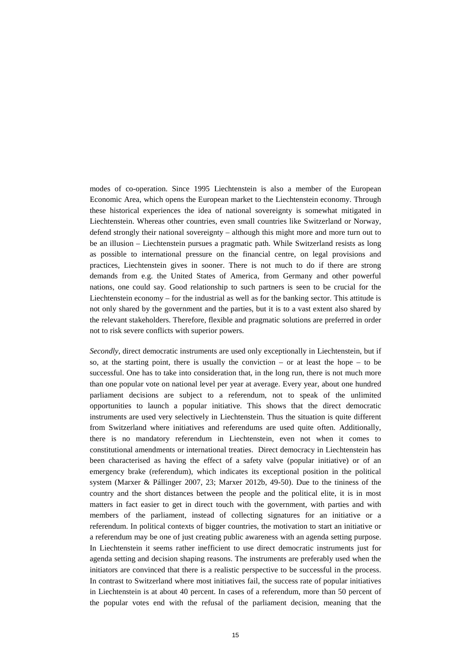modes of co-operation. Since 1995 Liechtenstein is also a member of the European Economic Area, which opens the European market to the Liechtenstein economy. Through these historical experiences the idea of national sovereignty is somewhat mitigated in Liechtenstein. Whereas other countries, even small countries like Switzerland or Norway, defend strongly their national sovereignty – although this might more and more turn out to be an illusion – Liechtenstein pursues a pragmatic path. While Switzerland resists as long as possible to international pressure on the financial centre, on legal provisions and practices, Liechtenstein gives in sooner. There is not much to do if there are strong demands from e.g. the United States of America, from Germany and other powerful nations, one could say. Good relationship to such partners is seen to be crucial for the Liechtenstein economy – for the industrial as well as for the banking sector. This attitude is not only shared by the government and the parties, but it is to a vast extent also shared by the relevant stakeholders. Therefore, flexible and pragmatic solutions are preferred in order not to risk severe conflicts with superior powers.

*Secondly*, direct democratic instruments are used only exceptionally in Liechtenstein, but if so, at the starting point, there is usually the conviction – or at least the hope – to be successful. One has to take into consideration that, in the long run, there is not much more than one popular vote on national level per year at average. Every year, about one hundred parliament decisions are subject to a referendum, not to speak of the unlimited opportunities to launch a popular initiative. This shows that the direct democratic instruments are used very selectively in Liechtenstein. Thus the situation is quite different from Switzerland where initiatives and referendums are used quite often. Additionally, there is no mandatory referendum in Liechtenstein, even not when it comes to constitutional amendments or international treaties. Direct democracy in Liechtenstein has been characterised as having the effect of a safety valve (popular initiative) or of an emergency brake (referendum), which indicates its exceptional position in the political system (Marxer & Pállinger 2007, 23; Marxer 2012b, 49-50). Due to the tininess of the country and the short distances between the people and the political elite, it is in most matters in fact easier to get in direct touch with the government, with parties and with members of the parliament, instead of collecting signatures for an initiative or a referendum. In political contexts of bigger countries, the motivation to start an initiative or a referendum may be one of just creating public awareness with an agenda setting purpose. In Liechtenstein it seems rather inefficient to use direct democratic instruments just for agenda setting and decision shaping reasons. The instruments are preferably used when the initiators are convinced that there is a realistic perspective to be successful in the process. In contrast to Switzerland where most initiatives fail, the success rate of popular initiatives in Liechtenstein is at about 40 percent. In cases of a referendum, more than 50 percent of the popular votes end with the refusal of the parliament decision, meaning that the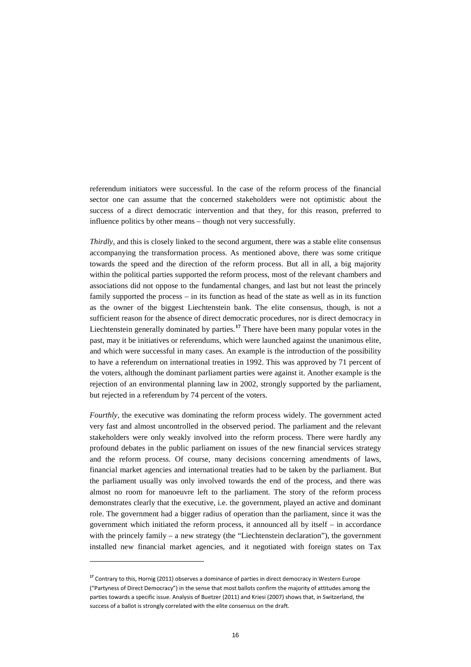referendum initiators were successful. In the case of the reform process of the financial sector one can assume that the concerned stakeholders were not optimistic about the success of a direct democratic intervention and that they, for this reason, preferred to influence politics by other means – though not very successfully.

*Thirdly*, and this is closely linked to the second argument, there was a stable elite consensus accompanying the transformation process. As mentioned above, there was some critique towards the speed and the direction of the reform process. But all in all, a big majority within the political parties supported the reform process, most of the relevant chambers and associations did not oppose to the fundamental changes, and last but not least the princely family supported the process – in its function as head of the state as well as in its function as the owner of the biggest Liechtenstein bank. The elite consensus, though, is not a sufficient reason for the absence of direct democratic procedures, nor is direct democracy in Liechtenstein generally dominated by parties. **[17](#page-15-0)** There have been many popular votes in the past, may it be initiatives or referendums, which were launched against the unanimous elite, and which were successful in many cases. An example is the introduction of the possibility to have a referendum on international treaties in 1992. This was approved by 71 percent of the voters, although the dominant parliament parties were against it. Another example is the rejection of an environmental planning law in 2002, strongly supported by the parliament, but rejected in a referendum by 74 percent of the voters.

*Fourthly*, the executive was dominating the reform process widely. The government acted very fast and almost uncontrolled in the observed period. The parliament and the relevant stakeholders were only weakly involved into the reform process. There were hardly any profound debates in the public parliament on issues of the new financial services strategy and the reform process. Of course, many decisions concerning amendments of laws, financial market agencies and international treaties had to be taken by the parliament. But the parliament usually was only involved towards the end of the process, and there was almost no room for manoeuvre left to the parliament. The story of the reform process demonstrates clearly that the executive, i.e. the government, played an active and dominant role. The government had a bigger radius of operation than the parliament, since it was the government which initiated the reform process, it announced all by itself – in accordance with the princely family – a new strategy (the "Liechtenstein declaration"), the government installed new financial market agencies, and it negotiated with foreign states on Tax

l

<span id="page-15-0"></span>**<sup>17</sup>** Contrary to this, Hornig (2011) observes a dominance of parties in direct democracy in Western Europe ("Partyness of Direct Democracy") in the sense that most ballots confirm the majority of attitudes among the parties towards a specific issue. Analysis of Buetzer (2011) and Kriesi (2007) shows that, in Switzerland, the success of a ballot is strongly correlated with the elite consensus on the draft.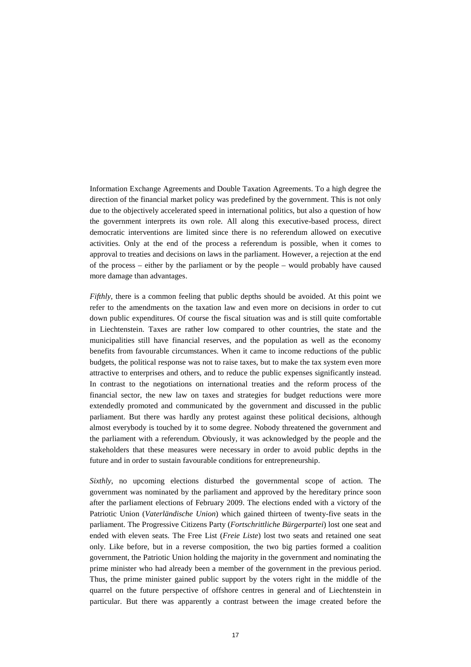Information Exchange Agreements and Double Taxation Agreements. To a high degree the direction of the financial market policy was predefined by the government. This is not only due to the objectively accelerated speed in international politics, but also a question of how the government interprets its own role. All along this executive-based process, direct democratic interventions are limited since there is no referendum allowed on executive activities. Only at the end of the process a referendum is possible, when it comes to approval to treaties and decisions on laws in the parliament. However, a rejection at the end of the process – either by the parliament or by the people – would probably have caused more damage than advantages.

*Fifthly*, there is a common feeling that public depths should be avoided. At this point we refer to the amendments on the taxation law and even more on decisions in order to cut down public expenditures. Of course the fiscal situation was and is still quite comfortable in Liechtenstein. Taxes are rather low compared to other countries, the state and the municipalities still have financial reserves, and the population as well as the economy benefits from favourable circumstances. When it came to income reductions of the public budgets, the political response was not to raise taxes, but to make the tax system even more attractive to enterprises and others, and to reduce the public expenses significantly instead. In contrast to the negotiations on international treaties and the reform process of the financial sector, the new law on taxes and strategies for budget reductions were more extendedly promoted and communicated by the government and discussed in the public parliament. But there was hardly any protest against these political decisions, although almost everybody is touched by it to some degree. Nobody threatened the government and the parliament with a referendum. Obviously, it was acknowledged by the people and the stakeholders that these measures were necessary in order to avoid public depths in the future and in order to sustain favourable conditions for entrepreneurship.

*Sixthly*, no upcoming elections disturbed the governmental scope of action. The government was nominated by the parliament and approved by the hereditary prince soon after the parliament elections of February 2009. The elections ended with a victory of the Patriotic Union (*Vaterländische Union*) which gained thirteen of twenty-five seats in the parliament. The Progressive Citizens Party (*Fortschrittliche Bürgerpartei*) lost one seat and ended with eleven seats. The Free List (*Freie Liste*) lost two seats and retained one seat only. Like before, but in a reverse composition, the two big parties formed a coalition government, the Patriotic Union holding the majority in the government and nominating the prime minister who had already been a member of the government in the previous period. Thus, the prime minister gained public support by the voters right in the middle of the quarrel on the future perspective of offshore centres in general and of Liechtenstein in particular. But there was apparently a contrast between the image created before the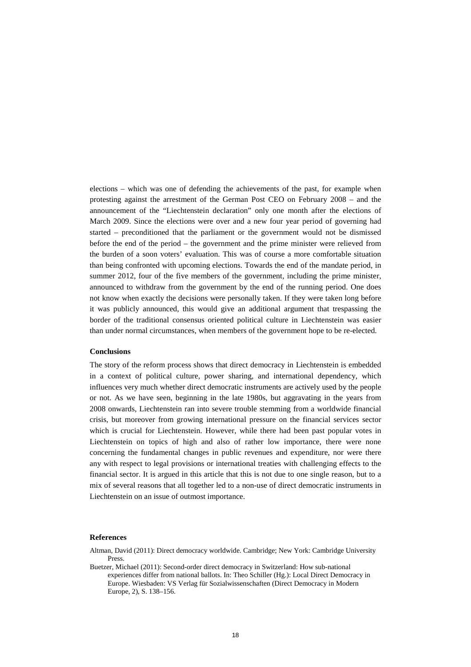elections – which was one of defending the achievements of the past, for example when protesting against the arrestment of the German Post CEO on February 2008 – and the announcement of the "Liechtenstein declaration" only one month after the elections of March 2009. Since the elections were over and a new four year period of governing had started – preconditioned that the parliament or the government would not be dismissed before the end of the period – the government and the prime minister were relieved from the burden of a soon voters' evaluation. This was of course a more comfortable situation than being confronted with upcoming elections. Towards the end of the mandate period, in summer 2012, four of the five members of the government, including the prime minister, announced to withdraw from the government by the end of the running period. One does not know when exactly the decisions were personally taken. If they were taken long before it was publicly announced, this would give an additional argument that trespassing the border of the traditional consensus oriented political culture in Liechtenstein was easier than under normal circumstances, when members of the government hope to be re-elected.

# **Conclusions**

The story of the reform process shows that direct democracy in Liechtenstein is embedded in a context of political culture, power sharing, and international dependency, which influences very much whether direct democratic instruments are actively used by the people or not. As we have seen, beginning in the late 1980s, but aggravating in the years from 2008 onwards, Liechtenstein ran into severe trouble stemming from a worldwide financial crisis, but moreover from growing international pressure on the financial services sector which is crucial for Liechtenstein. However, while there had been past popular votes in Liechtenstein on topics of high and also of rather low importance, there were none concerning the fundamental changes in public revenues and expenditure, nor were there any with respect to legal provisions or international treaties with challenging effects to the financial sector. It is argued in this article that this is not due to one single reason, but to a mix of several reasons that all together led to a non-use of direct democratic instruments in Liechtenstein on an issue of outmost importance.

#### **References**

Altman, David (2011): Direct democracy worldwide. Cambridge; New York: Cambridge University Press.

Buetzer, Michael (2011): Second-order direct democracy in Switzerland: How sub-national experiences differ from national ballots. In: Theo Schiller (Hg.): Local Direct Democracy in Europe. Wiesbaden: VS Verlag für Sozialwissenschaften (Direct Democracy in Modern Europe, 2), S. 138–156.